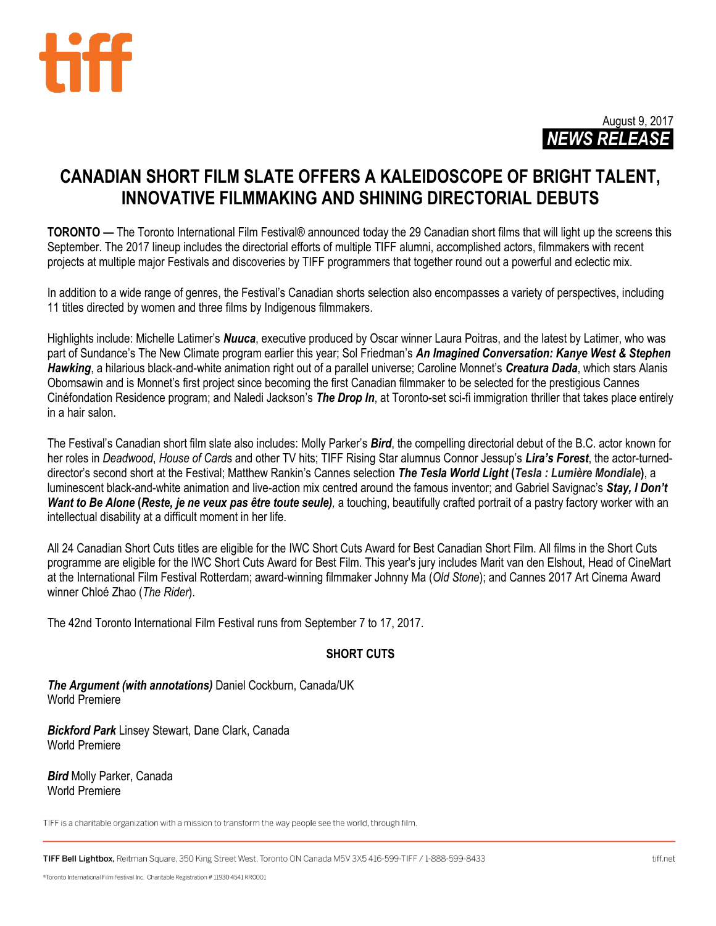



# **CANADIAN SHORT FILM SLATE OFFERS A KALEIDOSCOPE OF BRIGHT TALENT, INNOVATIVE FILMMAKING AND SHINING DIRECTORIAL DEBUTS**

**TORONTO** — The Toronto International Film Festival® announced today the 29 Canadian short films that will light up the screens this September. The 2017 lineup includes the directorial efforts of multiple TIFF alumni, accomplished actors, filmmakers with recent projects at multiple major Festivals and discoveries by TIFF programmers that together round out a powerful and eclectic mix.

In addition to a wide range of genres, the Festival's Canadian shorts selection also encompasses a variety of perspectives, including 11 titles directed by women and three films by Indigenous filmmakers.

Highlights include: Michelle Latimer's *Nuuca*, executive produced by Oscar winner Laura Poitras, and the latest by Latimer, who was part of Sundance's The New Climate program earlier this year; Sol Friedman's *An Imagined Conversation: Kanye West & Stephen Hawking*, a hilarious black-and-white animation right out of a parallel universe; Caroline Monnet's *Creatura Dada*, which stars Alanis Obomsawin and is Monnet's first project since becoming the first Canadian filmmaker to be selected for the prestigious Cannes Cinéfondation Residence program; and Naledi Jackson's *The Drop In*, at Toronto-set sci-fi immigration thriller that takes place entirely in a hair salon.

The Festival's Canadian short film slate also includes: Molly Parker's *Bird*, the compelling directorial debut of the B.C. actor known for her roles in *Deadwood*, *House of Card*s and other TV hits; TIFF Rising Star alumnus Connor Jessup's *Lira's Forest*, the actor-turneddirector's second short at the Festival; Matthew Rankin's Cannes selection *The Tesla World Light* **(***Tesla : Lumière Mondiale***)**, a luminescent black-and-white animation and live-action mix centred around the famous inventor; and Gabriel Savignac's *Stay, I Don't Want to Be Alone* **(***Reste, je ne veux pas être toute seule),* a touching, beautifully crafted portrait of a pastry factory worker with an intellectual disability at a difficult moment in her life.

All 24 Canadian Short Cuts titles are eligible for the IWC Short Cuts Award for Best Canadian Short Film. All films in the Short Cuts programme are eligible for the IWC Short Cuts Award for Best Film. This year's jury includes Marit van den Elshout, Head of CineMart at the International Film Festival Rotterdam; award-winning filmmaker Johnny Ma (*Old Stone*); and Cannes 2017 Art Cinema Award winner Chloé Zhao (*The Rider*).

The 42nd Toronto International Film Festival runs from September 7 to 17, 2017.

## **SHORT CUTS**

*The Argument (with annotations)* Daniel Cockburn, Canada/UK World Premiere

*Bickford Park* Linsey Stewart, Dane Clark, Canada World Premiere

*Bird* Molly Parker, Canada World Premiere

TIFF is a charitable organization with a mission to transform the way people see the world, through film.

TIFF Bell Lightbox, Reitman Square, 350 King Street West, Toronto ON Canada M5V 3X5 416-599-TIFF / 1-888-599-8433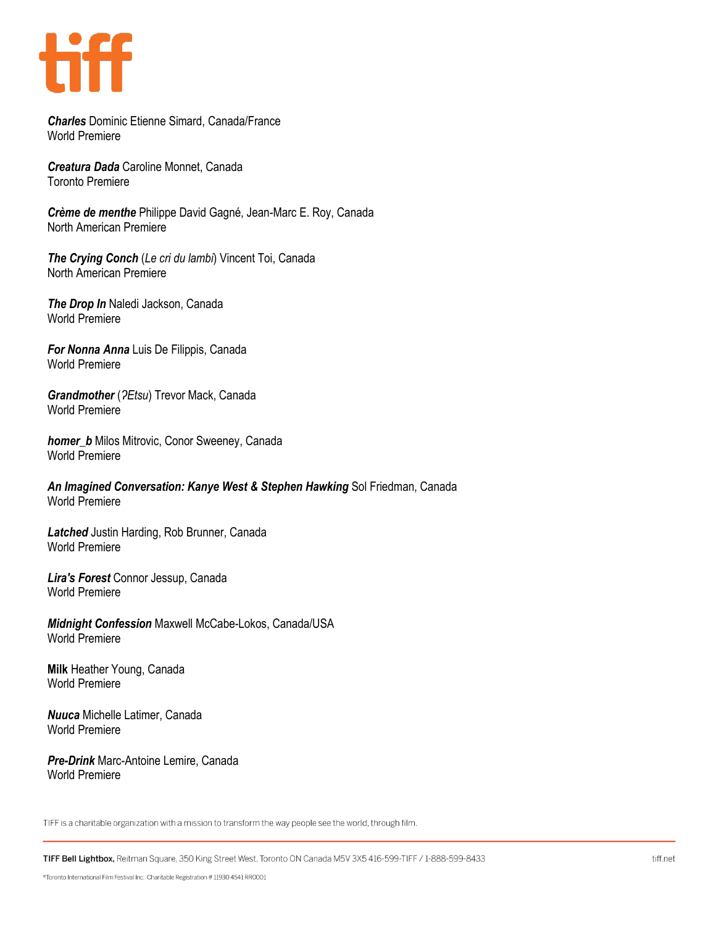

*Charles* Dominic Etienne Simard, Canada/France World Premiere

*Creatura Dada* Caroline Monnet, Canada Toronto Premiere

*Crème de menthe* Philippe David Gagné, Jean-Marc E. Roy, Canada North American Premiere

*The Crying Conch* (*Le cri du lambi*) Vincent Toi, Canada North American Premiere

*The Drop In* Naledi Jackson, Canada World Premiere

*For Nonna Anna* Luis De Filippis, Canada World Premiere

*Grandmother* (*ʔEtsu*) Trevor Mack, Canada World Premiere

*homer\_b* Milos Mitrovic, Conor Sweeney, Canada World Premiere

*An Imagined Conversation: Kanye West & Stephen Hawking* Sol Friedman, Canada World Premiere

*Latched* Justin Harding, Rob Brunner, Canada World Premiere

*Lira's Forest* Connor Jessup, Canada World Premiere

*Midnight Confession* Maxwell McCabe-Lokos, Canada/USA World Premiere

**Milk** Heather Young, Canada World Premiere

*Nuuca* Michelle Latimer, Canada World Premiere

*Pre-Drink* Marc-Antoine Lemire, Canada World Premiere

TIFF is a charitable organization with a mission to transform the way people see the world, through film.

TIFF Bell Lightbox, Reitman Square, 350 King Street West, Toronto ON Canada M5V 3X5 416-599-TIFF / 1-888-599-8433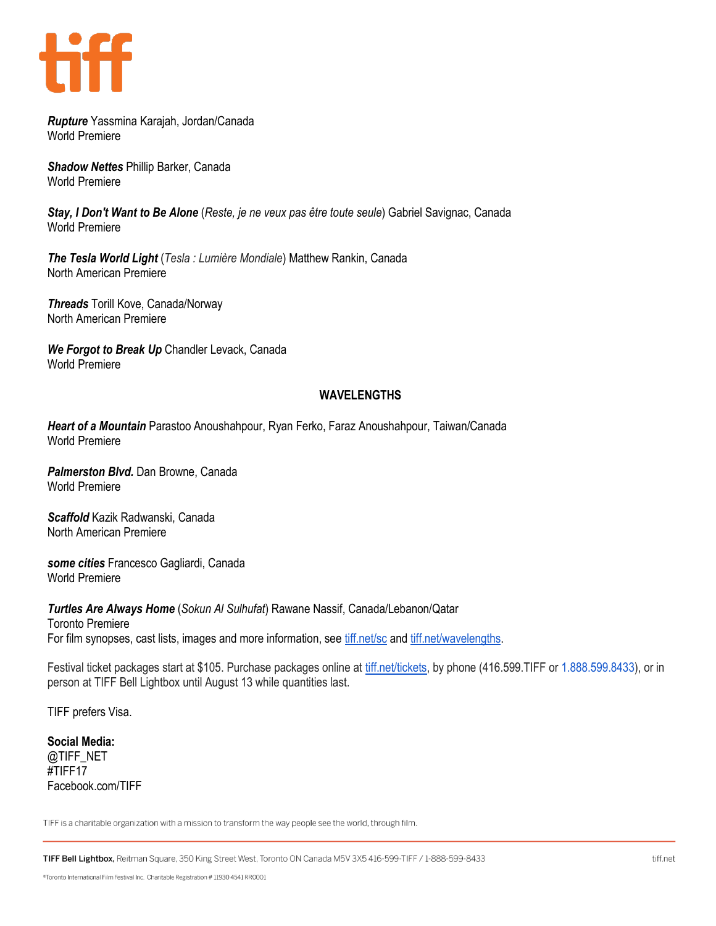

*Rupture* Yassmina Karajah, Jordan/Canada World Premiere

*Shadow Nettes* Phillip Barker, Canada World Premiere

*Stay, I Don't Want to Be Alone* (*Reste, je ne veux pas être toute seule*) Gabriel Savignac, Canada World Premiere

*The Tesla World Light* (*Tesla : Lumière Mondiale*) Matthew Rankin, Canada North American Premiere

*Threads* Torill Kove, Canada/Norway North American Premiere

*We Forgot to Break Up* Chandler Levack, Canada World Premiere

## **WAVELENGTHS**

*Heart of a Mountain* Parastoo Anoushahpour, Ryan Ferko, Faraz Anoushahpour, Taiwan/Canada World Premiere

*Palmerston Blvd.* Dan Browne, Canada World Premiere

*Scaffold* Kazik Radwanski, Canada North American Premiere

*some cities* Francesco Gagliardi, Canada World Premiere

*Turtles Are Always Home* (*Sokun Al Sulhufat*) Rawane Nassif, Canada/Lebanon/Qatar Toronto Premiere For film synopses, cast lists, images and more information, see tiff.net/sc and tiff.net/wavelengths.

Festival ticket packages start at \$105. Purchase packages online at [tiff.net/tickets,](http://tiff.net/tickets) by phone (416.599.TIFF or 1.888.599.8433), or in person at TIFF Bell Lightbox until August 13 while quantities last.

TIFF prefers Visa.

**Social Media:** @TIFF\_NET #TIFF17 Facebook.com/TIFF

TIFF is a charitable organization with a mission to transform the way people see the world, through film.

TIFF Bell Lightbox, Reitman Square, 350 King Street West, Toronto ON Canada M5V 3X5 416-599-TIFF / 1-888-599-8433